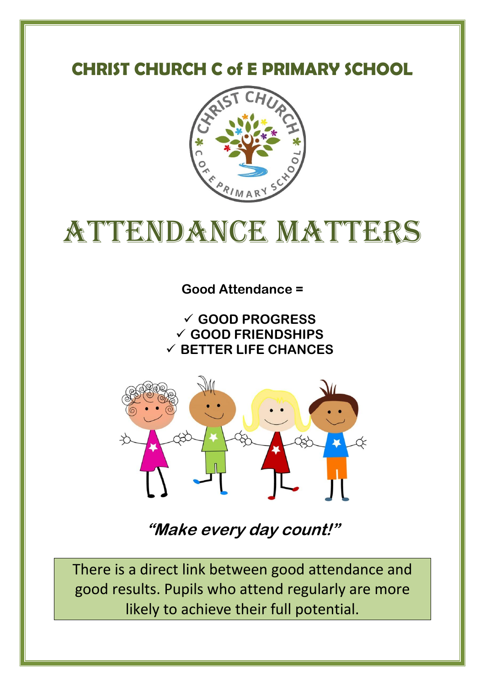# **CHRIST CHURCH C of E PRIMARY SCHOOL**



# ATTENDANCE MATTERS

**Good Attendance =**

 **GOOD PROGRESS GOOD FRIENDSHIPS BETTER LIFE CHANCES**



**"Make every day count!"** 

There is a direct link between good attendance and good results. Pupils who attend regularly are more likely to achieve their full potential.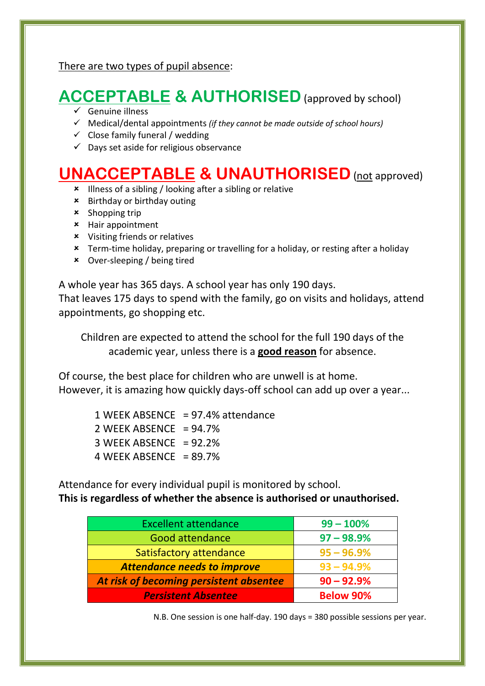There are two types of pupil absence:

# **ACCEPTABLE & AUTHORISED** (approved by school)

- $\checkmark$  Genuine illness
- Medical/dental appointments *(if they cannot be made outside of school hours)*
- $\checkmark$  Close family funeral / wedding
- $\checkmark$  Days set aside for religious observance

## **UNACCEPTABLE & UNAUTHORISED** (not approved)

- Illness of a sibling / looking after a sibling or relative
- Birthday or birthday outing
- $x$  Shopping trip
- Hair appointment
- Visiting friends or relatives
- Term-time holiday, preparing or travelling for a holiday, or resting after a holiday
- Over-sleeping / being tired

A whole year has 365 days. A school year has only 190 days.

That leaves 175 days to spend with the family, go on visits and holidays, attend appointments, go shopping etc.

Children are expected to attend the school for the full 190 days of the academic year, unless there is a **good reason** for absence.

Of course, the best place for children who are unwell is at home. However, it is amazing how quickly days-off school can add up over a year...

 1 WEEK ABSENCE = 97.4% attendance 2 WEEK ABSENCE =  $94.7%$  $3$  WEEK ABSENCE = 92.2% 4 WEEK ABSENCE =  $89.7%$ 

Attendance for every individual pupil is monitored by school. **This is regardless of whether the absence is authorised or unauthorised.** 

| <b>Excellent attendance</b>             | $99 - 100%$      |
|-----------------------------------------|------------------|
| <b>Good attendance</b>                  | $97 - 98.9%$     |
| $95 - 96.9%$<br>Satisfactory attendance |                  |
| <b>Attendance needs to improve</b>      | $93 - 94.9%$     |
| At risk of becoming persistent absentee | $90 - 92.9%$     |
| <b>Persistent Absentee</b>              | <b>Below 90%</b> |

N.B. One session is one half-day. 190 days = 380 possible sessions per year.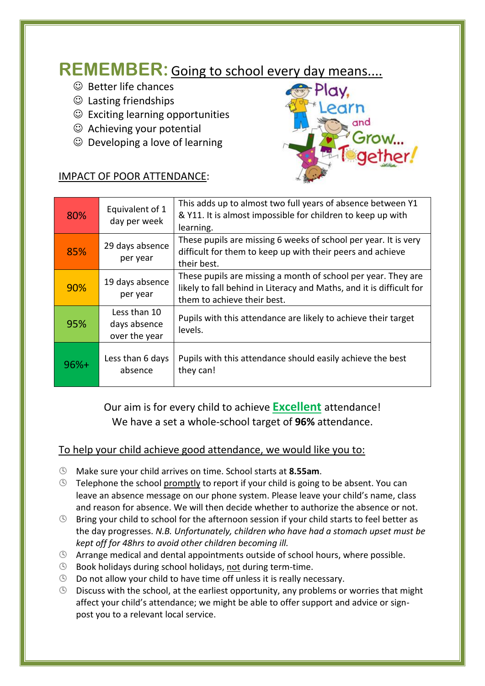## **REMEMBER:** Going to school every day means....

- $\odot$  Better life chances
- $\odot$  Lasting friendships
- $\odot$  Exciting learning opportunities
- $\odot$  Achieving your potential
- $\odot$  Developing a love of learning



#### IMPACT OF POOR ATTENDANCE:

| 80%    | Equivalent of 1<br>day per week               | This adds up to almost two full years of absence between Y1<br>& Y11. It is almost impossible for children to keep up with<br>learning.                              |
|--------|-----------------------------------------------|----------------------------------------------------------------------------------------------------------------------------------------------------------------------|
| 85%    | 29 days absence<br>per year                   | These pupils are missing 6 weeks of school per year. It is very<br>difficult for them to keep up with their peers and achieve<br>their best.                         |
| 90%    | 19 days absence<br>per year                   | These pupils are missing a month of school per year. They are<br>likely to fall behind in Literacy and Maths, and it is difficult for<br>them to achieve their best. |
| 95%    | Less than 10<br>days absence<br>over the year | Pupils with this attendance are likely to achieve their target<br>levels.                                                                                            |
| $96%+$ | Less than 6 days<br>absence                   | Pupils with this attendance should easily achieve the best<br>they can!                                                                                              |

Our aim is for every child to achieve **Excellent** attendance! We have a set a whole-school target of **96%** attendance.

#### To help your child achieve good attendance, we would like you to:

- Make sure your child arrives on time. School starts at **8.55am**.
- $\circled{S}$  Telephone the school promptly to report if your child is going to be absent. You can leave an absence message on our phone system. Please leave your child's name, class and reason for absence. We will then decide whether to authorize the absence or not.
- $\circledR$  Bring your child to school for the afternoon session if your child starts to feel better as the day progresses. *N.B. Unfortunately, children who have had a stomach upset must be kept off for 48hrs to avoid other children becoming ill.*
- $\circled{S}$  Arrange medical and dental appointments outside of school hours, where possible.
- **Book holidays during school holidays, not during term-time.**
- Do not allow your child to have time off unless it is really necessary.
- $\circledR$  Discuss with the school, at the earliest opportunity, any problems or worries that might affect your child's attendance; we might be able to offer support and advice or signpost you to a relevant local service.